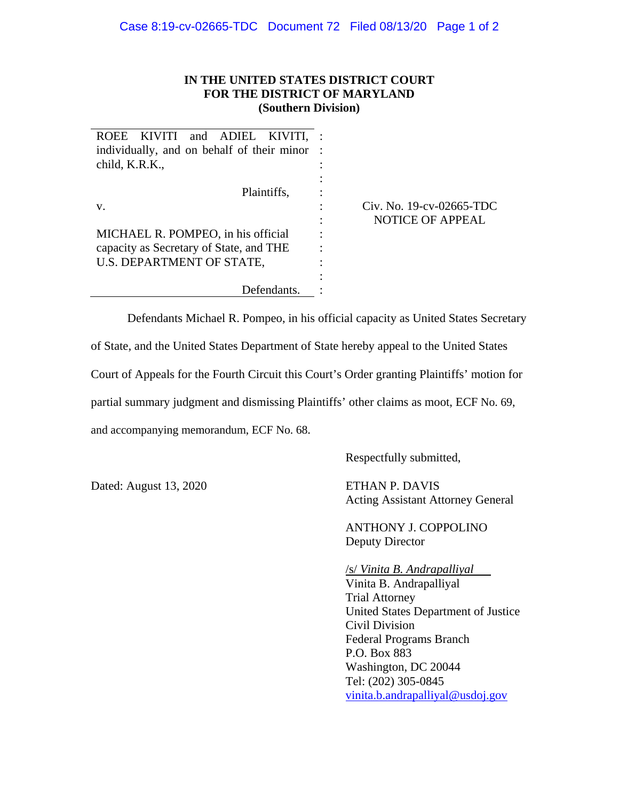## **IN THE UNITED STATES DISTRICT COURT FOR THE DISTRICT OF MARYLAND (Southern Division)**

| ROEE KIVITI and ADIEL KIVITI,              |
|--------------------------------------------|
| individually, and on behalf of their minor |
| child, K.R.K.,                             |
|                                            |
| Plaintiffs,                                |
| V.                                         |
|                                            |
| MICHAEL R. POMPEO, in his official         |
| capacity as Secretary of State, and THE    |
| U.S. DEPARTMENT OF STATE,                  |
|                                            |
| Defendants.                                |

## Civ. No. 19-cv-02665-TDC NOTICE OF APPEAL

Defendants Michael R. Pompeo, in his official capacity as United States Secretary of State, and the United States Department of State hereby appeal to the United States Court of Appeals for the Fourth Circuit this Court's Order granting Plaintiffs' motion for partial summary judgment and dismissing Plaintiffs' other claims as moot, ECF No. 69, and accompanying memorandum, ECF No. 68.

Respectfully submitted,

Dated: August 13, 2020 ETHAN P. DAVIS

Acting Assistant Attorney General

 ANTHONY J. COPPOLINO Deputy Director

/s/ *Vinita B. Andrapalliyal* 

Vinita B. Andrapalliyal Trial Attorney United States Department of Justice Civil Division Federal Programs Branch P.O. Box 883 Washington, DC 20044 Tel: (202) 305-0845 vinita.b.andrapalliyal@usdoj.gov